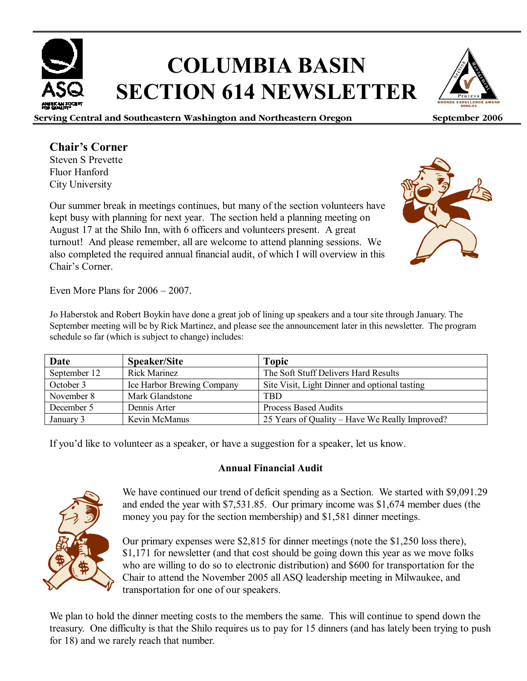

# **COLUMBIA BASIN SECTION 614 NEWSLETTER**

**Serving Central and Southeastern Washington and Northeastern Oregon September 2006** 

## **Chair's Corner**

Steven S Prevette Fluor Hanford City University

Our summer break in meetings continues, but many of the section volunteers have kept busy with planning for next year. The section held a planning meeting on August 17 at the Shilo Inn, with 6 officers and volunteers present. A great turnout! And please remember, all are welcome to attend planning sessions. We also completed the required annual financial audit, of which I will overview in this Chair's Corner



Even More Plans for  $2006 - 2007$ .

Jo Haberstok and Robert Boykin have done a great job of lining up speakers and a tour site through January. The September meeting will be by Rick Martinez, and please see the announcement later in this newsletter. The program schedule so far (which is subject to change) includes:

| Date         | <b>Speaker/Site</b>        | <b>Topic</b>                                   |  |
|--------------|----------------------------|------------------------------------------------|--|
| September 12 | <b>Rick Marinez</b>        | The Soft Stuff Delivers Hard Results           |  |
| October 3    | Ice Harbor Brewing Company | Site Visit, Light Dinner and optional tasting  |  |
| November 8   | Mark Glandstone            | <b>TBD</b>                                     |  |
| December 5   | Dennis Arter               | <b>Process Based Audits</b>                    |  |
| January 3    | Kevin McManus              | 25 Years of Quality – Have We Really Improved? |  |

If you'd like to volunteer as a speaker, or have a suggestion for a speaker, let us know.

#### **Annual Financial Audit**



We have continued our trend of deficit spending as a Section. We started with \$9,091.29 and ended the year with \$7,531.85. Our primary income was \$1,674 member dues (the money you pay for the section membership) and \$1,581 dinner meetings.

Our primary expenses were \$2,815 for dinner meetings (note the \$1,250 loss there), \$1,171 for newsletter (and that cost should be going down this year as we move folks who are willing to do so to electronic distribution) and \$600 for transportation for the Chair to attend the November 2005 all ASQ leadership meeting in Milwaukee, and transportation for one of our speakers.

We plan to hold the dinner meeting costs to the members the same. This will continue to spend down the treasury. One difficulty is that the Shilo requires us to pay for 15 dinners (and has lately been trying to push for 18) and we rarely reach that number.

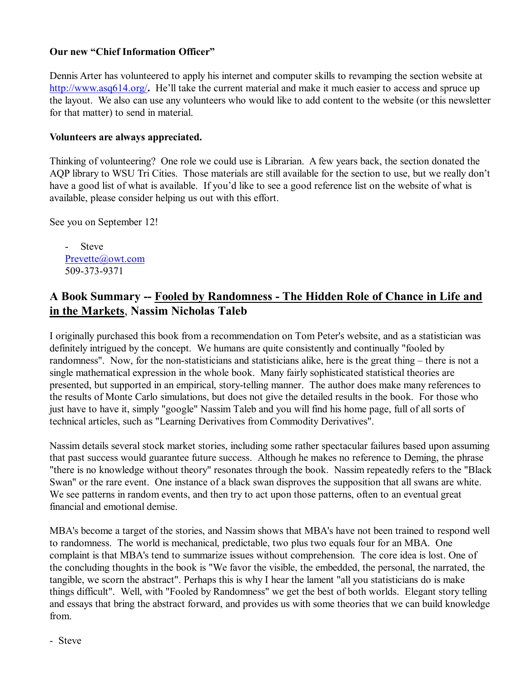#### **Our new "Chief Information Officer"**

Dennis Arter has volunteered to apply his internet and computer skills to revamping the section website at http://www.asq614.org/. He'll take the current material and make it much easier to access and spruce up the layout. We also can use any volunteers who would like to add content to the website (or this newsletter for that matter) to send in material.

#### **Volunteers are always appreciated.**

Thinking of volunteering? One role we could use is Librarian. A few years back, the section donated the AQP library to WSU Tri Cities. Those materials are still available for the section to use, but we really don't have a good list of what is available. If you'd like to see a good reference list on the website of what is available, please consider helping us out with this effort.

See you on September 12!

- Steve Prevette@owt.com 509-373-9371

## **A Book Summary -- Fooled by Randomness - The Hidden Role of Chance in Life and in the Markets**, **Nassim Nicholas Taleb**

I originally purchased this book from a recommendation on Tom Peter's website, and as a statistician was definitely intrigued by the concept. We humans are quite consistently and continually "fooled by randomness". Now, for the non-statisticians and statisticians alike, here is the great thing – there is not a single mathematical expression in the whole book. Many fairly sophisticated statistical theories are presented, but supported in an empirical, story-telling manner. The author does make many references to the results of Monte Carlo simulations, but does not give the detailed results in the book. For those who just have to have it, simply "google" Nassim Taleb and you will find his home page, full of all sorts of technical articles, such as "Learning Derivatives from Commodity Derivatives".

Nassim details several stock market stories, including some rather spectacular failures based upon assuming that past success would guarantee future success. Although he makes no reference to Deming, the phrase "there is no knowledge without theory" resonates through the book. Nassim repeatedly refers to the "Black Swan" or the rare event. One instance of a black swan disproves the supposition that all swans are white. We see patterns in random events, and then try to act upon those patterns, often to an eventual great financial and emotional demise.

MBA's become a target of the stories, and Nassim shows that MBA's have not been trained to respond well to randomness. The world is mechanical, predictable, two plus two equals four for an MBA. One complaint is that MBA's tend to summarize issues without comprehension. The core idea is lost. One of the concluding thoughts in the book is "We favor the visible, the embedded, the personal, the narrated, the tangible, we scorn the abstract". Perhaps this is why I hear the lament "all you statisticians do is make things difficult". Well, with "Fooled by Randomness" we get the best of both worlds. Elegant story telling and essays that bring the abstract forward, and provides us with some theories that we can build knowledge from.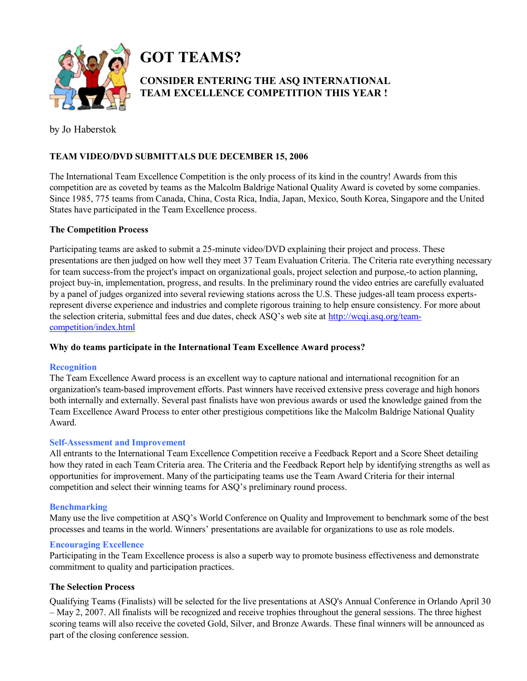

## **GOT TEAMS?**

## **CONSIDER ENTERING THE ASQ INTERNATIONAL TEAM EXCELLENCE COMPETITION THIS YEAR !**

by Jo Haberstok

#### **TEAM VIDEO/DVD SUBMITTALS DUE DECEMBER 15, 2006**

The International Team Excellence Competition is the only process of its kind in the country! Awards from this competition are as coveted by teams as the Malcolm Baldrige National Quality Award is coveted by some companies. Since 1985, 775 teams from Canada, China, Costa Rica, India, Japan, Mexico, South Korea, Singapore and the United States have participated in the Team Excellence process.

#### **The Competition Process**

Participating teams are asked to submit a 25-minute video/DVD explaining their project and process. These presentations are then judged on how well they meet 37 Team Evaluation Criteria. The Criteria rate everything necessary for team success-from the project's impact on organizational goals, project selection and purpose,-to action planning, project buy-in, implementation, progress, and results. In the preliminary round the video entries are carefully evaluated by a panel of judges organized into several reviewing stations across the U.S. These judges-all team process expertsrepresent diverse experience and industries and complete rigorous training to help ensure consistency. For more about the selection criteria, submittal fees and due dates, check ASQ's web site at http://wcqi.asq.org/teamcompetition/index.html

#### **Why do teams participate in the International Team Excellence Award process?**

#### **Recognition**

The Team Excellence Award process is an excellent way to capture national and international recognition for an organization's team-based improvement efforts. Past winners have received extensive press coverage and high honors both internally and externally. Several past finalists have won previous awards or used the knowledge gained from the Team Excellence Award Process to enter other prestigious competitions like the Malcolm Baldrige National Quality Award.

#### **Self-Assessment and Improvement**

All entrants to the International Team Excellence Competition receive a Feedback Report and a Score Sheet detailing how they rated in each Team Criteria area. The Criteria and the Feedback Report help by identifying strengths as well as opportunities for improvement. Many of the participating teams use the Team Award Criteria for their internal competition and select their winning teams for ASQ's preliminary round process.

#### **Benchmarking**

Many use the live competition at ASQ's World Conference on Quality and Improvement to benchmark some of the best processes and teams in the world. Winners' presentations are available for organizations to use as role models.

#### **Encouraging Excellence**

Participating in the Team Excellence process is also a superb way to promote business effectiveness and demonstrate commitment to quality and participation practices.

#### **The Selection Process**

Qualifying Teams (Finalists) will be selected for the live presentations at ASQ's Annual Conference in Orlando April 30 ñ May 2, 2007. All finalists will be recognized and receive trophies throughout the general sessions. The three highest scoring teams will also receive the coveted Gold, Silver, and Bronze Awards. These final winners will be announced as part of the closing conference session.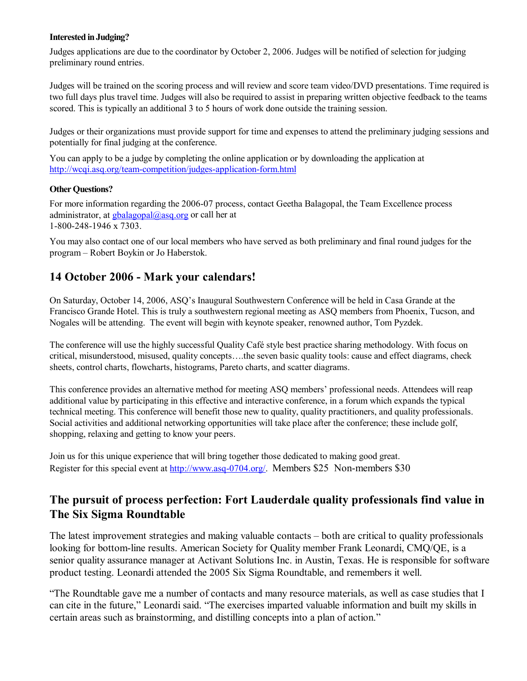#### **Interested in Judging?**

Judges applications are due to the coordinator by October 2, 2006. Judges will be notified of selection for judging preliminary round entries.

Judges will be trained on the scoring process and will review and score team video/DVD presentations. Time required is two full days plus travel time. Judges will also be required to assist in preparing written objective feedback to the teams scored. This is typically an additional 3 to 5 hours of work done outside the training session.

Judges or their organizations must provide support for time and expenses to attend the preliminary judging sessions and potentially for final judging at the conference.

You can apply to be a judge by completing the online application or by downloading the application at http://wcqi.asq.org/team-competition/judges-application-form.html

#### **Other Questions?**

For more information regarding the 2006-07 process, contact Geetha Balagopal, the Team Excellence process administrator, at  $gbalagopal@asq.org$  or call her at 1-800-248-1946 x 7303.

You may also contact one of our local members who have served as both preliminary and final round judges for the program – Robert Boykin or Jo Haberstok.

## **14 October 2006 - Mark your calendars!**

On Saturday, October 14, 2006, ASQís Inaugural Southwestern Conference will be held in Casa Grande at the Francisco Grande Hotel. This is truly a southwestern regional meeting as ASQ members from Phoenix, Tucson, and Nogales will be attending. The event will begin with keynote speaker, renowned author, Tom Pyzdek.

The conference will use the highly successful Quality CafÈ style best practice sharing methodology. With focus on critical, misunderstood, misused, quality concepts....the seven basic quality tools: cause and effect diagrams, check sheets, control charts, flowcharts, histograms, Pareto charts, and scatter diagrams.

This conference provides an alternative method for meeting ASQ members' professional needs. Attendees will reap additional value by participating in this effective and interactive conference, in a forum which expands the typical technical meeting. This conference will benefit those new to quality, quality practitioners, and quality professionals. Social activities and additional networking opportunities will take place after the conference; these include golf, shopping, relaxing and getting to know your peers.

Join us for this unique experience that will bring together those dedicated to making good great. Register for this special event at http://www.asq-0704.org/. Members \$25 Non-members \$30

## **The pursuit of process perfection: Fort Lauderdale quality professionals find value in The Six Sigma Roundtable**

The latest improvement strategies and making valuable contacts – both are critical to quality professionals looking for bottom-line results. American Society for Quality member Frank Leonardi, CMQ/QE, is a senior quality assurance manager at Activant Solutions Inc. in Austin, Texas. He is responsible for software product testing. Leonardi attended the 2005 Six Sigma Roundtable, and remembers it well.

ìThe Roundtable gave me a number of contacts and many resource materials, as well as case studies that I can cite in the future," Leonardi said. "The exercises imparted valuable information and built my skills in certain areas such as brainstorming, and distilling concepts into a plan of action.<sup>7</sup>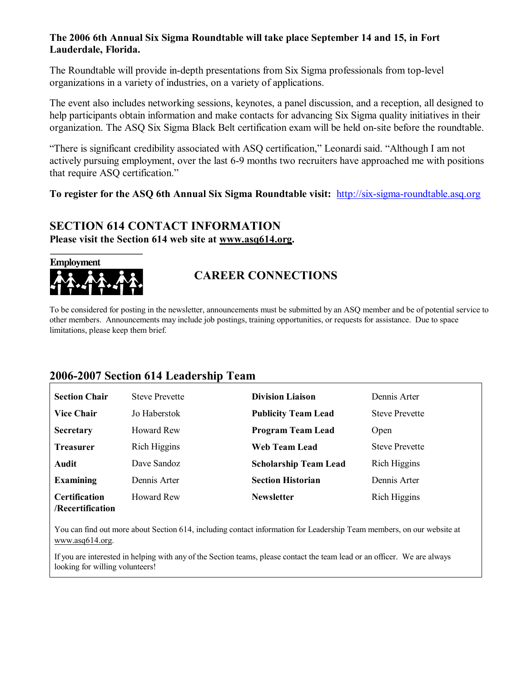#### **The 2006 6th Annual Six Sigma Roundtable will take place September 14 and 15, in Fort Lauderdale, Florida.**

The Roundtable will provide in-depth presentations from Six Sigma professionals from top-level organizations in a variety of industries, on a variety of applications.

The event also includes networking sessions, keynotes, a panel discussion, and a reception, all designed to help participants obtain information and make contacts for advancing Six Sigma quality initiatives in their organization. The ASQ Six Sigma Black Belt certification exam will be held on-site before the roundtable.

"There is significant credibility associated with ASQ certification," Leonardi said. "Although I am not actively pursuing employment, over the last 6-9 months two recruiters have approached me with positions that require ASO certification."

**To register for the ASQ 6th Annual Six Sigma Roundtable visit:** http://six-sigma-roundtable.asq.org

## **SECTION 614 CONTACT INFORMATION**

**Please visit the Section 614 web site at www.asq614.org.** 



## **CAREER CONNECTIONS**

To be considered for posting in the newsletter, announcements must be submitted by an ASQ member and be of potential service to other members. Announcements may include job postings, training opportunities, or requests for assistance. Due to space limitations, please keep them brief.

### **2006-2007 Section 614 Leadership Team**

| <b>Section Chair</b>                     | <b>Steve Prevette</b> | <b>Division Liaison</b>      | Dennis Arter          |
|------------------------------------------|-----------------------|------------------------------|-----------------------|
| <b>Vice Chair</b>                        | Jo Haberstok          | <b>Publicity Team Lead</b>   | <b>Steve Prevette</b> |
| <b>Secretary</b>                         | Howard Rew            | <b>Program Team Lead</b>     | Open                  |
| <b>Treasurer</b>                         | Rich Higgins          | Web Team Lead                | <b>Steve Prevette</b> |
| Audit                                    | Dave Sandoz           | <b>Scholarship Team Lead</b> | Rich Higgins          |
| <b>Examining</b>                         | Dennis Arter          | <b>Section Historian</b>     | Dennis Arter          |
| <b>Certification</b><br>/Recertification | Howard Rew            | <b>Newsletter</b>            | Rich Higgins          |

You can find out more about Section 614, including contact information for Leadership Team members, on our website at www.asq614.org.

If you are interested in helping with any of the Section teams, please contact the team lead or an officer. We are always looking for willing volunteers!